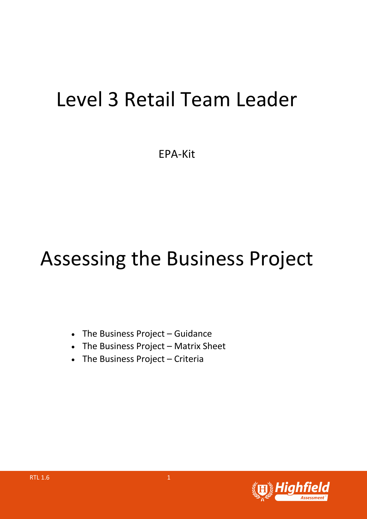## Level 3 Retail Team Leader

EPA-Kit

## Assessing the Business Project

- The Business Project Guidance
- The Business Project Matrix Sheet
- The Business Project Criteria

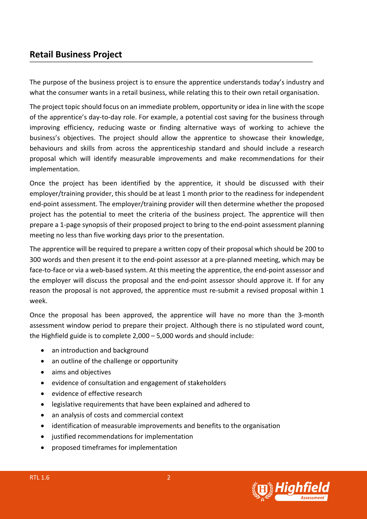## **Retail Business Project**

The purpose of the business project is to ensure the apprentice understands today's industry and what the consumer wants in a retail business, while relating this to their own retail organisation.

The project topic should focus on an immediate problem, opportunity or idea in line with the scope of the apprentice's day-to-day role. For example, a potential cost saving for the business through improving efficiency, reducing waste or finding alternative ways of working to achieve the business's objectives. The project should allow the apprentice to showcase their knowledge, behaviours and skills from across the apprenticeship standard and should include a research proposal which will identify measurable improvements and make recommendations for their implementation.

Once the project has been identified by the apprentice, it should be discussed with their employer/training provider, this should be at least 1 month prior to the readiness for independent end-point assessment. The employer/training provider will then determine whether the proposed project has the potential to meet the criteria of the business project. The apprentice will then prepare a 1-page synopsis of their proposed project to bring to the end-point assessment planning meeting no less than five working days prior to the presentation.

The apprentice will be required to prepare a written copy of their proposal which should be 200 to 300 words and then present it to the end-point assessor at a pre-planned meeting, which may be face-to-face or via a web-based system. At this meeting the apprentice, the end-point assessor and the employer will discuss the proposal and the end-point assessor should approve it. If for any reason the proposal is not approved, the apprentice must re-submit a revised proposal within 1 week.

Once the proposal has been approved, the apprentice will have no more than the 3-month assessment window period to prepare their project. Although there is no stipulated word count, the Highfield guide is to complete 2,000 – 5,000 words and should include:

- an introduction and background
- an outline of the challenge or opportunity
- aims and objectives
- evidence of consultation and engagement of stakeholders
- evidence of effective research
- legislative requirements that have been explained and adhered to
- an analysis of costs and commercial context
- identification of measurable improvements and benefits to the organisation
- justified recommendations for implementation
- proposed timeframes for implementation

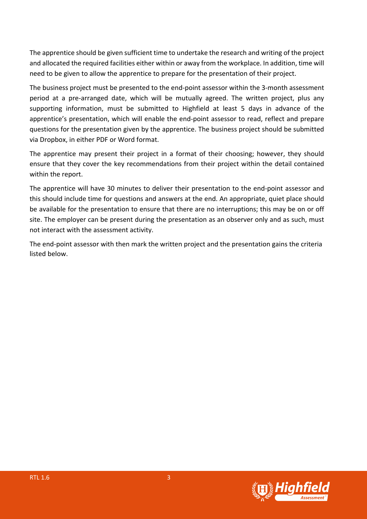The apprentice should be given sufficient time to undertake the research and writing of the project and allocated the required facilities either within or away from the workplace. In addition, time will need to be given to allow the apprentice to prepare for the presentation of their project.

The business project must be presented to the end-point assessor within the 3-month assessment period at a pre-arranged date, which will be mutually agreed. The written project, plus any supporting information, must be submitted to Highfield at least 5 days in advance of the apprentice's presentation, which will enable the end-point assessor to read, reflect and prepare questions for the presentation given by the apprentice. The business project should be submitted via Dropbox, in either PDF or Word format.

The apprentice may present their project in a format of their choosing; however, they should ensure that they cover the key recommendations from their project within the detail contained within the report.

The apprentice will have 30 minutes to deliver their presentation to the end-point assessor and this should include time for questions and answers at the end. An appropriate, quiet place should be available for the presentation to ensure that there are no interruptions; this may be on or off site. The employer can be present during the presentation as an observer only and as such, must not interact with the assessment activity.

The end-point assessor with then mark the written project and the presentation gains the criteria listed below.

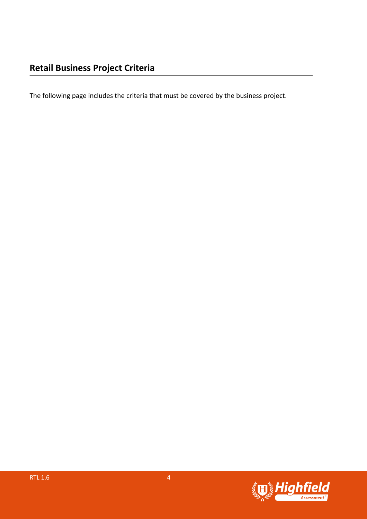The following page includes the criteria that must be covered by the business project.